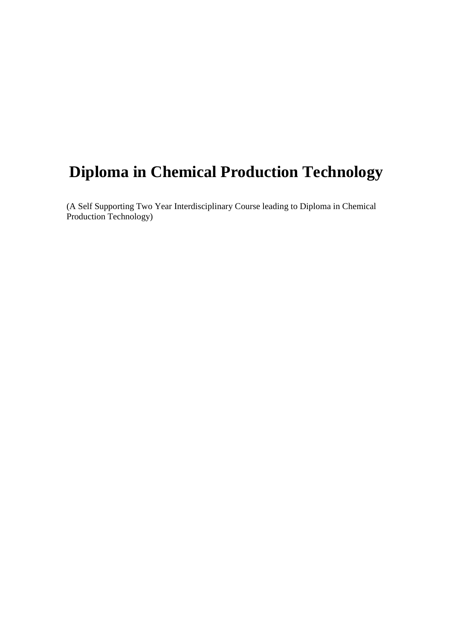# **Diploma in Chemical Production Technology**

(A Self Supporting Two Year Interdisciplinary Course leading to Diploma in Chemical Production Technology)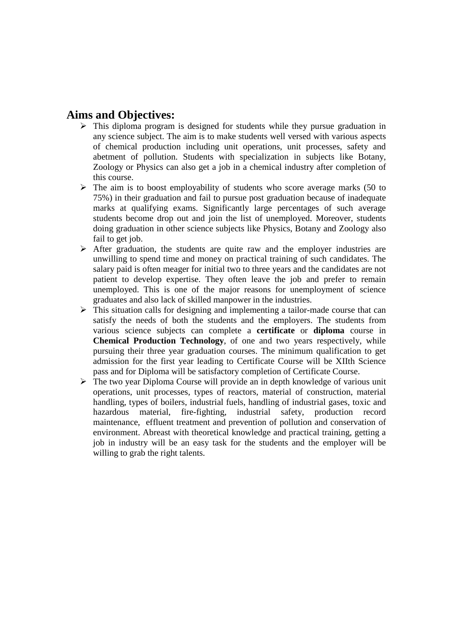# **Aims and Objectives:**

- $\triangleright$  This diploma program is designed for students while they pursue graduation in any science subject. The aim is to make students well versed with various aspects of chemical production including unit operations, unit processes, safety and abetment of pollution. Students with specialization in subjects like Botany, Zoology or Physics can also get a job in a chemical industry after completion of this course.
- $\triangleright$  The aim is to boost employability of students who score average marks (50 to 75%) in their graduation and fail to pursue post graduation because of inadequate marks at qualifying exams. Significantly large percentages of such average students become drop out and join the list of unemployed. Moreover, students doing graduation in other science subjects like Physics, Botany and Zoology also fail to get job.
- $\triangleright$  After graduation, the students are quite raw and the employer industries are unwilling to spend time and money on practical training of such candidates. The salary paid is often meager for initial two to three years and the candidates are not patient to develop expertise. They often leave the job and prefer to remain unemployed. This is one of the major reasons for unemployment of science graduates and also lack of skilled manpower in the industries.
- $\triangleright$  This situation calls for designing and implementing a tailor-made course that can satisfy the needs of both the students and the employers. The students from various science subjects can complete a **certificate** or **diploma** course in **Chemical Production Technology**, of one and two years respectively, while pursuing their three year graduation courses. The minimum qualification to get admission for the first year leading to Certificate Course will be XIIth Science pass and for Diploma will be satisfactory completion of Certificate Course.
- $\triangleright$  The two year Diploma Course will provide an in depth knowledge of various unit operations, unit processes, types of reactors, material of construction, material handling, types of boilers, industrial fuels, handling of industrial gases, toxic and hazardous material, fire-fighting, industrial safety, production record maintenance, effluent treatment and prevention of pollution and conservation of environment. Abreast with theoretical knowledge and practical training, getting a job in industry will be an easy task for the students and the employer will be willing to grab the right talents.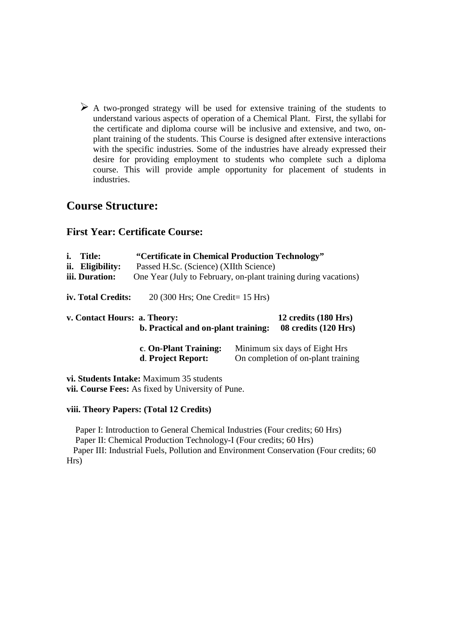$\triangleright$  A two-pronged strategy will be used for extensive training of the students to understand various aspects of operation of a Chemical Plant. First, the syllabi for the certificate and diploma course will be inclusive and extensive, and two, onplant training of the students. This Course is designed after extensive interactions with the specific industries. Some of the industries have already expressed their desire for providing employment to students who complete such a diploma course. This will provide ample opportunity for placement of students in industries.

# **Course Structure:**

# **First Year: Certificate Course:**

| i.<br><b>Title:</b><br>ii.<br>Eligibility:<br>iii. Duration: | "Certificate in Chemical Production Technology"<br>Passed H.Sc. (Science) (XIIth Science)<br>One Year (July to February, on-plant training during vacations) |  |                                                                     |
|--------------------------------------------------------------|--------------------------------------------------------------------------------------------------------------------------------------------------------------|--|---------------------------------------------------------------------|
| iv. Total Credits:                                           | $20(300$ Hrs; One Credit= 15 Hrs)                                                                                                                            |  |                                                                     |
| v. Contact Hours: a. Theory:                                 | b. Practical and on-plant training:                                                                                                                          |  | 12 credits (180 Hrs)<br>08 credits (120 Hrs)                        |
|                                                              | c. On-Plant Training:<br>d. Project Report:                                                                                                                  |  | Minimum six days of Eight Hrs<br>On completion of on-plant training |

**vi. Students Intake:** Maximum 35 students **vii. Course Fees:** As fixed by University of Pune.

## **viii. Theory Papers: (Total 12 Credits)**

 Paper I: Introduction to General Chemical Industries (Four credits; 60 Hrs) Paper II: Chemical Production Technology-I (Four credits; 60 Hrs) Paper III: Industrial Fuels, Pollution and Environment Conservation (Four credits; 60 Hrs)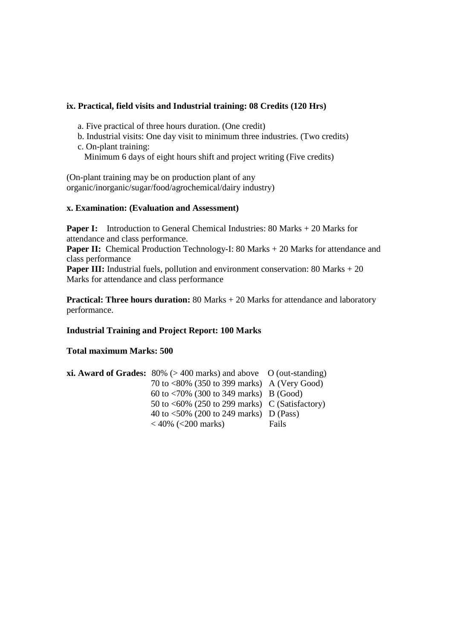#### **ix. Practical, field visits and Industrial training: 08 Credits (120 Hrs)**

- a. Five practical of three hours duration. (One credit)
- b. Industrial visits: One day visit to minimum three industries. (Two credits)
- c. On-plant training: Minimum 6 days of eight hours shift and project writing (Five credits)

(On-plant training may be on production plant of any organic/inorganic/sugar/food/agrochemical/dairy industry)

#### **x. Examination: (Evaluation and Assessment)**

**Paper I:** Introduction to General Chemical Industries: 80 Marks + 20 Marks for attendance and class performance.

**Paper II:** Chemical Production Technology-I: 80 Marks + 20 Marks for attendance and class performance

**Paper III:** Industrial fuels, pollution and environment conservation: 80 Marks + 20 Marks for attendance and class performance

**Practical: Three hours duration:** 80 Marks + 20 Marks for attendance and laboratory performance.

#### **Industrial Training and Project Report: 100 Marks**

#### **Total maximum Marks: 500**

| <b>xi. Award of Grades:</b> $80\%$ ( $> 400$ marks) and above O (out-standing) |       |
|--------------------------------------------------------------------------------|-------|
| 70 to $<80\%$ (350 to 399 marks) A (Very Good)                                 |       |
| 60 to $\langle 70\% \ (300 \text{ to } 349 \text{ marks}) \   B \ (Good)$      |       |
| 50 to $\langle 60\% \rangle$ (250 to 299 marks) C (Satisfactory)               |       |
| 40 to $\langle 50\% \rangle$ (200 to 249 marks) D (Pass)                       |       |
| $<$ 40% ( $<$ 200 marks)                                                       | Fails |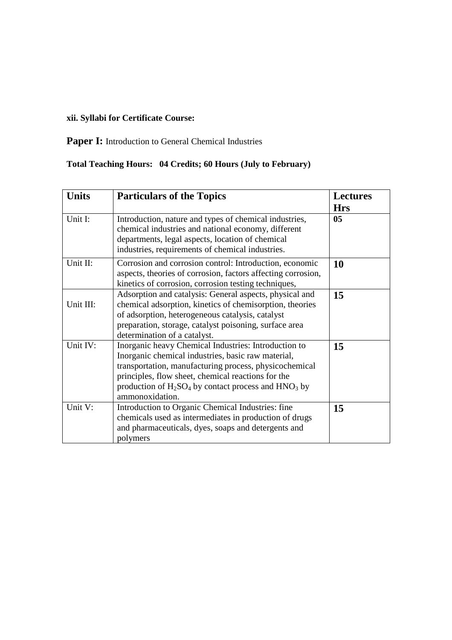# **xii. Syllabi for Certificate Course:**

Paper I: Introduction to General Chemical Industries

| <b>Units</b> | <b>Particulars of the Topics</b>                                                                                                                                                                                                                                                                           | <b>Lectures</b> |
|--------------|------------------------------------------------------------------------------------------------------------------------------------------------------------------------------------------------------------------------------------------------------------------------------------------------------------|-----------------|
|              |                                                                                                                                                                                                                                                                                                            | <b>Hrs</b>      |
| Unit I:      | Introduction, nature and types of chemical industries,<br>chemical industries and national economy, different<br>departments, legal aspects, location of chemical<br>industries, requirements of chemical industries.                                                                                      | 05              |
| Unit II:     | Corrosion and corrosion control: Introduction, economic<br>aspects, theories of corrosion, factors affecting corrosion,<br>kinetics of corrosion, corrosion testing techniques,                                                                                                                            | <b>10</b>       |
| Unit III:    | Adsorption and catalysis: General aspects, physical and<br>chemical adsorption, kinetics of chemisorption, theories<br>of adsorption, heterogeneous catalysis, catalyst<br>preparation, storage, catalyst poisoning, surface area<br>determination of a catalyst.                                          | 15              |
| Unit IV:     | Inorganic heavy Chemical Industries: Introduction to<br>Inorganic chemical industries, basic raw material,<br>transportation, manufacturing process, physicochemical<br>principles, flow sheet, chemical reactions for the<br>production of $H_2SO_4$ by contact process and $HNO_3$ by<br>ammonoxidation. | 15              |
| Unit V:      | Introduction to Organic Chemical Industries: fine<br>chemicals used as intermediates in production of drugs<br>and pharmaceuticals, dyes, soaps and detergents and<br>polymers                                                                                                                             | 15              |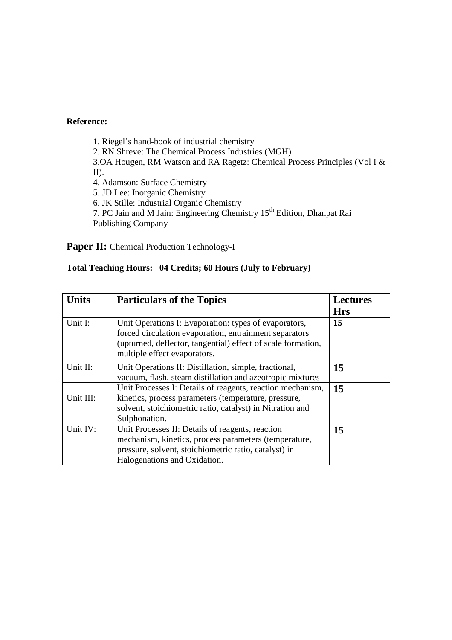1. Riegel's hand-book of industrial chemistry 2. RN Shreve: The Chemical Process Industries (MGH) 3.OA Hougen, RM Watson and RA Ragetz: Chemical Process Principles (Vol I & II). 4. Adamson: Surface Chemistry 5. JD Lee: Inorganic Chemistry 6. JK Stille: Industrial Organic Chemistry 7. PC Jain and M Jain: Engineering Chemistry 15<sup>th</sup> Edition, Dhanpat Rai Publishing Company

# Paper II: Chemical Production Technology-I

| <b>Units</b> | <b>Particulars of the Topics</b>                                                                                                                                                                                | <b>Lectures</b> |
|--------------|-----------------------------------------------------------------------------------------------------------------------------------------------------------------------------------------------------------------|-----------------|
|              |                                                                                                                                                                                                                 | <b>Hrs</b>      |
| Unit I:      | Unit Operations I: Evaporation: types of evaporators,<br>forced circulation evaporation, entrainment separators<br>(upturned, deflector, tangential) effect of scale formation,<br>multiple effect evaporators. | 15              |
| Unit II:     | Unit Operations II: Distillation, simple, fractional,<br>vacuum, flash, steam distillation and azeotropic mixtures                                                                                              | 15              |
| Unit III:    | Unit Processes I: Details of reagents, reaction mechanism,<br>kinetics, process parameters (temperature, pressure,<br>solvent, stoichiometric ratio, catalyst) in Nitration and<br>Sulphonation.                | 15              |
| Unit IV:     | Unit Processes II: Details of reagents, reaction<br>mechanism, kinetics, process parameters (temperature,<br>pressure, solvent, stoichiometric ratio, catalyst) in<br>Halogenations and Oxidation.              | 15              |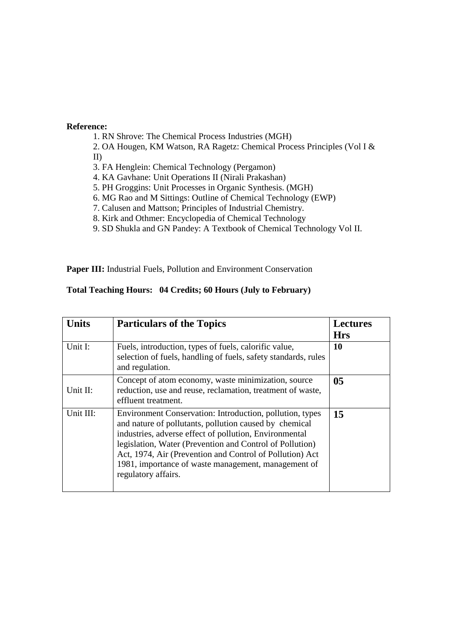- 1. RN Shrove: The Chemical Process Industries (MGH)
- 2. OA Hougen, KM Watson, RA Ragetz: Chemical Process Principles (Vol I & II)
- 3. FA Henglein: Chemical Technology (Pergamon)
- 4. KA Gavhane: Unit Operations II (Nirali Prakashan)
- 5. PH Groggins: Unit Processes in Organic Synthesis. (MGH)
- 6. MG Rao and M Sittings: Outline of Chemical Technology (EWP)
- 7. Calusen and Mattson; Principles of Industrial Chemistry.
- 8. Kirk and Othmer: Encyclopedia of Chemical Technology
- 9. SD Shukla and GN Pandey: A Textbook of Chemical Technology Vol II.

Paper III: Industrial Fuels, Pollution and Environment Conservation

| Units     | <b>Particulars of the Topics</b>                                                                                                                                                                                                                                                                                                                                                   | <b>Lectures</b><br><b>Hrs</b> |
|-----------|------------------------------------------------------------------------------------------------------------------------------------------------------------------------------------------------------------------------------------------------------------------------------------------------------------------------------------------------------------------------------------|-------------------------------|
| Unit I:   | Fuels, introduction, types of fuels, calorific value,<br>selection of fuels, handling of fuels, safety standards, rules<br>and regulation.                                                                                                                                                                                                                                         | <b>10</b>                     |
| Unit II:  | Concept of atom economy, waste minimization, source<br>reduction, use and reuse, reclamation, treatment of waste,<br>effluent treatment.                                                                                                                                                                                                                                           | 0 <sub>5</sub>                |
| Unit III: | Environment Conservation: Introduction, pollution, types<br>and nature of pollutants, pollution caused by chemical<br>industries, adverse effect of pollution, Environmental<br>legislation, Water (Prevention and Control of Pollution)<br>Act, 1974, Air (Prevention and Control of Pollution) Act<br>1981, importance of waste management, management of<br>regulatory affairs. | 15                            |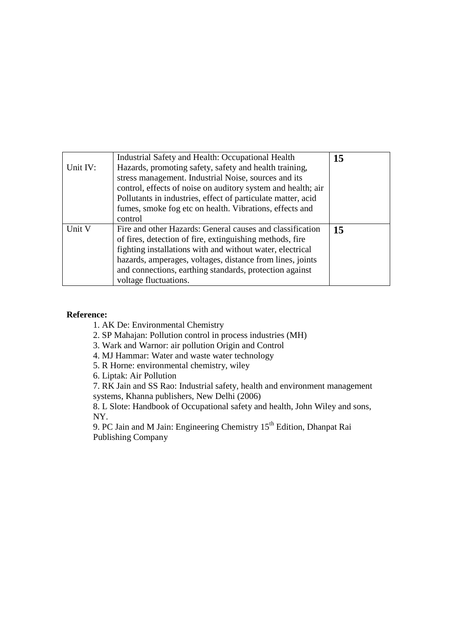| Unit IV: | Industrial Safety and Health: Occupational Health<br>Hazards, promoting safety, safety and health training,<br>stress management. Industrial Noise, sources and its<br>control, effects of noise on auditory system and health; air<br>Pollutants in industries, effect of particulate matter, acid<br>fumes, smoke fog etc on health. Vibrations, effects and<br>control | 15 |
|----------|---------------------------------------------------------------------------------------------------------------------------------------------------------------------------------------------------------------------------------------------------------------------------------------------------------------------------------------------------------------------------|----|
| Unit V   | Fire and other Hazards: General causes and classification<br>of fires, detection of fire, extinguishing methods, fire<br>fighting installations with and without water, electrical<br>hazards, amperages, voltages, distance from lines, joints<br>and connections, earthing standards, protection against<br>voltage fluctuations.                                       | 15 |

- 1. AK De: Environmental Chemistry
- 2. SP Mahajan: Pollution control in process industries (MH)
- 3. Wark and Warnor: air pollution Origin and Control
- 4. MJ Hammar: Water and waste water technology
- 5. R Horne: environmental chemistry, wiley

6. Liptak: Air Pollution

7. RK Jain and SS Rao: Industrial safety, health and environment management systems, Khanna publishers, New Delhi (2006)

8. L Slote: Handbook of Occupational safety and health, John Wiley and sons, NY.

9. PC Jain and M Jain: Engineering Chemistry 15<sup>th</sup> Edition, Dhanpat Rai Publishing Company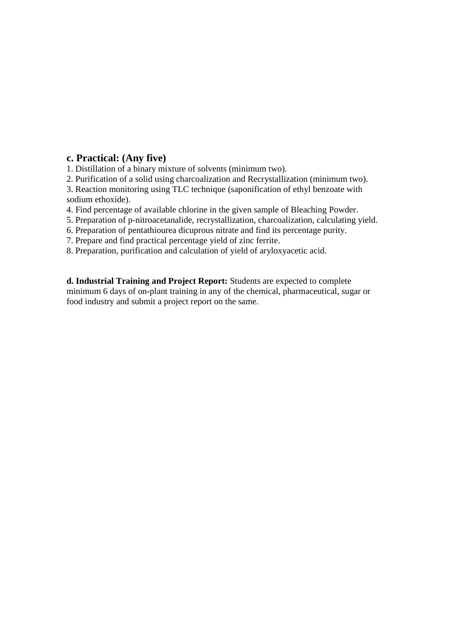# **c. Practical: (Any five)**

1. Distillation of a binary mixture of solvents (minimum two).

2. Purification of a solid using charcoalization and Recrystallization (minimum two).

3. Reaction monitoring using TLC technique (saponification of ethyl benzoate with sodium ethoxide).

4. Find percentage of available chlorine in the given sample of Bleaching Powder.

5. Preparation of p-nitroacetanalide, recrystallization, charcoalization, calculating yield.

6. Preparation of pentathiourea dicuprous nitrate and find its percentage purity.

7. Prepare and find practical percentage yield of zinc ferrite.

8. Preparation, purification and calculation of yield of aryloxyacetic acid.

**d. Industrial Training and Project Report:** Students are expected to complete minimum 6 days of on-plant training in any of the chemical, pharmaceutical, sugar or food industry and submit a project report on the same.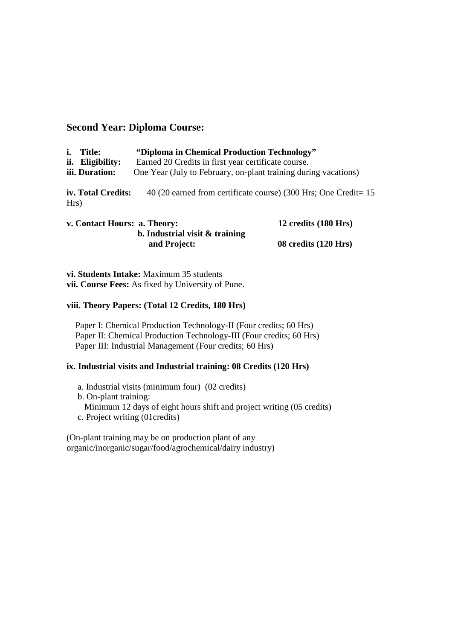# **Second Year: Diploma Course:**

| i.   | <b>Title:</b><br>ii. Eligibility:<br>iii. Duration: | "Diploma in Chemical Production Technology"<br>Earned 20 Credits in first year certificate course.<br>One Year (July to February, on-plant training during vacations) |                                                                 |
|------|-----------------------------------------------------|-----------------------------------------------------------------------------------------------------------------------------------------------------------------------|-----------------------------------------------------------------|
| Hrs) | iv. Total Credits:                                  |                                                                                                                                                                       | 40 (20 earned from certificate course) (300 Hrs; One Credit= 15 |
|      | v. Contact Hours: a. Theory:                        |                                                                                                                                                                       | 12 credits (180 Hrs)                                            |

| v. Contact Hours: a. Theory: |                                   | 12 credits (180 Hrs) |
|------------------------------|-----------------------------------|----------------------|
|                              | b. Industrial visit $\&$ training |                      |
|                              | and Project:                      | 08 credits (120 Hrs) |

**vi. Students Intake:** Maximum 35 students **vii. Course Fees:** As fixed by University of Pune.

# **viii. Theory Papers: (Total 12 Credits, 180 Hrs)**

 Paper I: Chemical Production Technology-II (Four credits; 60 Hrs) Paper II: Chemical Production Technology-III (Four credits; 60 Hrs) Paper III: Industrial Management (Four credits; 60 Hrs)

## **ix. Industrial visits and Industrial training: 08 Credits (120 Hrs)**

- a. Industrial visits (minimum four) (02 credits)
- b. On-plant training:
- Minimum 12 days of eight hours shift and project writing (05 credits)
- c. Project writing (01credits)

(On-plant training may be on production plant of any organic/inorganic/sugar/food/agrochemical/dairy industry)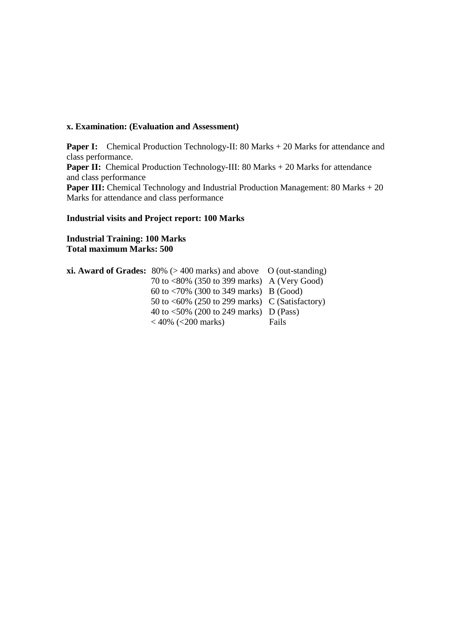#### **x. Examination: (Evaluation and Assessment)**

**Paper I:** Chemical Production Technology-II: 80 Marks + 20 Marks for attendance and class performance. **Paper II:** Chemical Production Technology-III: 80 Marks + 20 Marks for attendance and class performance Paper III: Chemical Technology and Industrial Production Management: 80 Marks + 20 Marks for attendance and class performance

#### **Industrial visits and Project report: 100 Marks**

**Industrial Training: 100 Marks Total maximum Marks: 500** 

| <b>xi. Award of Grades:</b> $80\%$ ( $> 400$ marks) and above O (out-standing) |       |
|--------------------------------------------------------------------------------|-------|
| 70 to $<80\%$ (350 to 399 marks) A (Very Good)                                 |       |
| 60 to $\langle 70\% \ (300 \text{ to } 349 \text{ marks}) \   B \ (Good)$      |       |
| 50 to $\langle 60\% \rangle$ (250 to 299 marks) C (Satisfactory)               |       |
| 40 to $\langle 50\% \rangle$ (200 to 249 marks) D (Pass)                       |       |
| $<$ 40% ( $<$ 200 marks)                                                       | Fails |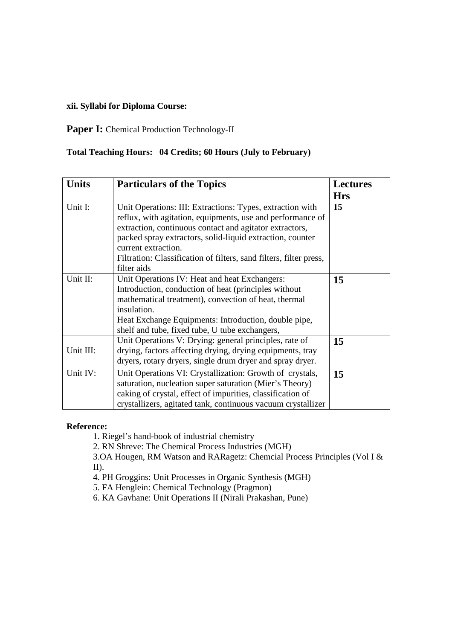# **xii. Syllabi for Diploma Course:**

# Paper I: Chemical Production Technology-II

# **Total Teaching Hours: 04 Credits; 60 Hours (July to February)**

| <b>Units</b> | <b>Particulars of the Topics</b>                                                                                                                                                                                                                                                                                                                            | <b>Lectures</b>  |
|--------------|-------------------------------------------------------------------------------------------------------------------------------------------------------------------------------------------------------------------------------------------------------------------------------------------------------------------------------------------------------------|------------------|
| Unit I:      | Unit Operations: III: Extractions: Types, extraction with<br>reflux, with agitation, equipments, use and performance of<br>extraction, continuous contact and agitator extractors,<br>packed spray extractors, solid-liquid extraction, counter<br>current extraction.<br>Filtration: Classification of filters, sand filters, filter press,<br>filter aids | <b>Hrs</b><br>15 |
| Unit II:     | Unit Operations IV: Heat and heat Exchangers:<br>Introduction, conduction of heat (principles without)<br>mathematical treatment), convection of heat, thermal<br>insulation.<br>Heat Exchange Equipments: Introduction, double pipe,<br>shelf and tube, fixed tube, U tube exchangers,                                                                     | 15               |
| Unit III:    | Unit Operations V: Drying: general principles, rate of<br>drying, factors affecting drying, drying equipments, tray<br>dryers, rotary dryers, single drum dryer and spray dryer.                                                                                                                                                                            | 15               |
| Unit IV:     | Unit Operations VI: Crystallization: Growth of crystals,<br>saturation, nucleation super saturation (Mier's Theory)<br>caking of crystal, effect of impurities, classification of<br>crystallizers, agitated tank, continuous vacuum crystallizer                                                                                                           | 15               |

#### **Reference:**

1. Riegel's hand-book of industrial chemistry

2. RN Shreve: The Chemical Process Industries (MGH)

3.OA Hougen, RM Watson and RARagetz: Chemcial Process Principles (Vol I & II).

4. PH Groggins: Unit Processes in Organic Synthesis (MGH)

5. FA Henglein: Chemical Technology (Pragmon)

6. KA Gavhane: Unit Operations II (Nirali Prakashan, Pune)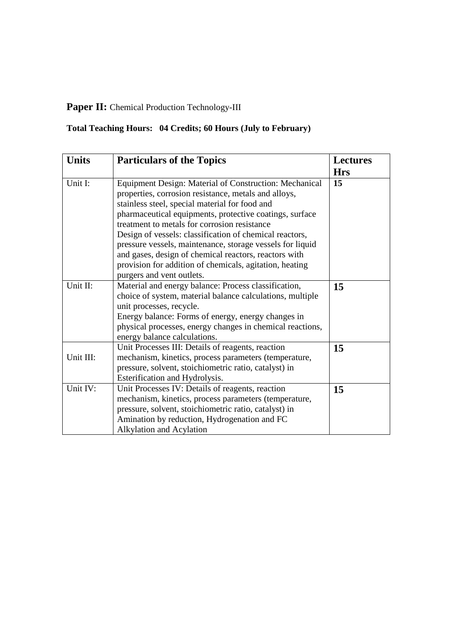# Paper II: Chemical Production Technology-III

| <b>Units</b> | <b>Particulars of the Topics</b>                          | <b>Lectures</b> |
|--------------|-----------------------------------------------------------|-----------------|
|              |                                                           | <b>Hrs</b>      |
| Unit I:      | Equipment Design: Material of Construction: Mechanical    | 15              |
|              | properties, corrosion resistance, metals and alloys,      |                 |
|              | stainless steel, special material for food and            |                 |
|              | pharmaceutical equipments, protective coatings, surface   |                 |
|              | treatment to metals for corrosion resistance              |                 |
|              | Design of vessels: classification of chemical reactors,   |                 |
|              | pressure vessels, maintenance, storage vessels for liquid |                 |
|              | and gases, design of chemical reactors, reactors with     |                 |
|              | provision for addition of chemicals, agitation, heating   |                 |
|              | purgers and vent outlets.                                 |                 |
| Unit II:     | Material and energy balance: Process classification,      | 15              |
|              | choice of system, material balance calculations, multiple |                 |
|              | unit processes, recycle.                                  |                 |
|              | Energy balance: Forms of energy, energy changes in        |                 |
|              | physical processes, energy changes in chemical reactions, |                 |
|              | energy balance calculations.                              |                 |
|              | Unit Processes III: Details of reagents, reaction         | 15              |
| Unit III:    | mechanism, kinetics, process parameters (temperature,     |                 |
|              | pressure, solvent, stoichiometric ratio, catalyst) in     |                 |
|              | Esterification and Hydrolysis.                            |                 |
| Unit IV:     | Unit Processes IV: Details of reagents, reaction          | 15              |
|              | mechanism, kinetics, process parameters (temperature,     |                 |
|              | pressure, solvent, stoichiometric ratio, catalyst) in     |                 |
|              | Amination by reduction, Hydrogenation and FC              |                 |
|              | Alkylation and Acylation                                  |                 |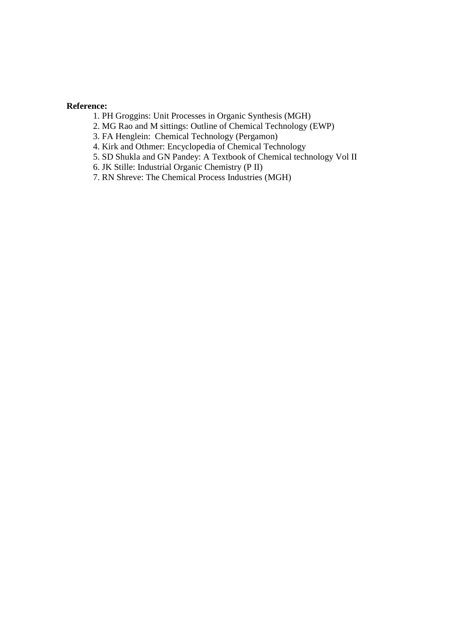- 1. PH Groggins: Unit Processes in Organic Synthesis (MGH)
- 2. MG Rao and M sittings: Outline of Chemical Technology (EWP)
- 3. FA Henglein: Chemical Technology (Pergamon)
- 4. Kirk and Othmer: Encyclopedia of Chemical Technology
- 5. SD Shukla and GN Pandey: A Textbook of Chemical technology Vol II
- 6. JK Stille: Industrial Organic Chemistry (P II)
- 7. RN Shreve: The Chemical Process Industries (MGH)